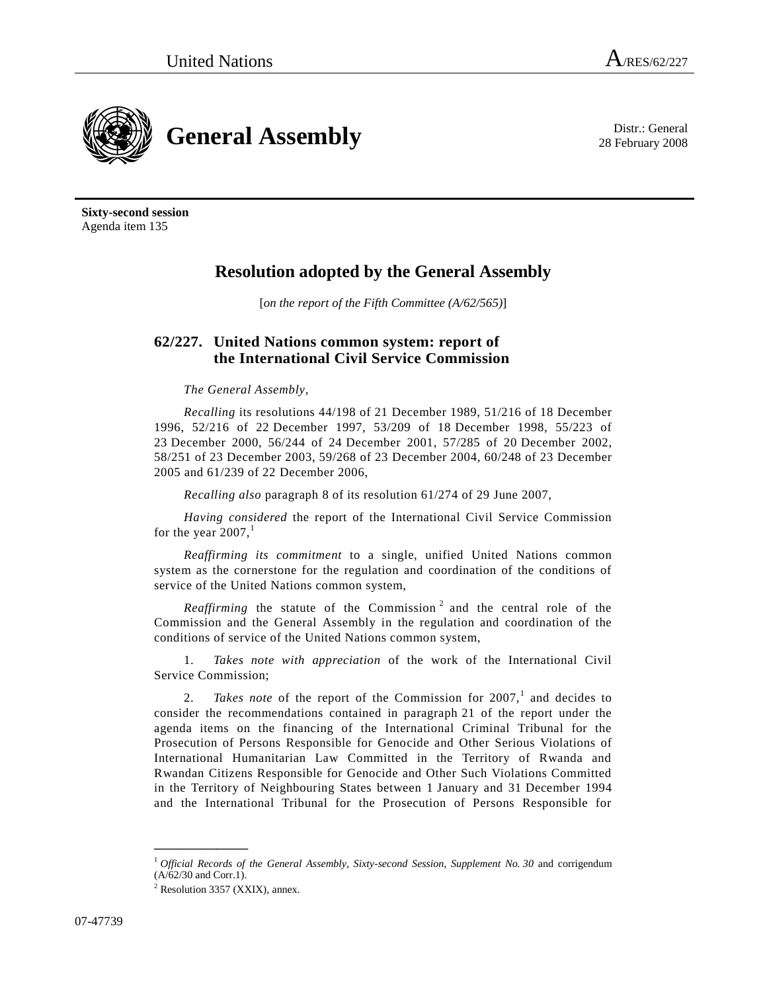28 February 2008



**Sixty-second session** Agenda item 135

# **Resolution adopted by the General Assembly**

[*on the report of the Fifth Committee (A/62/565)*]

## **62/227. United Nations common system: report of the International Civil Service Commission**

## *The General Assembly*,

*Recalling* its resolutions 44/198 of 21 December 1989, 51/216 of 18 December 1996, 52/216 of 22 December 1997, 53/209 of 18 December 1998, 55/223 of 23 December 2000, 56/244 of 24 December 2001, 57/285 of 20 December 2002, 58/251 of 23 December 2003, 59/268 of 23 December 2004, 60/248 of 23 December 2005 and 61/239 of 22 December 2006,

*Recalling also* paragraph 8 of its resolution 61/274 of 29 June 2007,

*Having considered* the report of the International Civil Service Commission for the year  $2007$ ,<sup>1</sup>

*Reaffirming its commitment* to a single, unified United Nations common system as the cornerstone for the regulation and coordination of the conditions of service of the United Nations common system,

Reaffirming the statute of the Commission<sup>2</sup> and the central role of the Commission and the General Assembly in the regulation and coordination of the conditions of service of the United Nations common system,

1. *Takes note with appreciation* of the work of the International Civil Service Commission;

2. *Takes note* of the report of the Commission for  $2007$ ,<sup>1</sup> and decides to consider the recommendations contained in paragraph 21 of the report under the agenda items on the financing of the International Criminal Tribunal for the Prosecution of Persons Responsible for Genocide and Other Serious Violations of International Humanitarian Law Committed in the Territory of Rwanda and Rwandan Citizens Responsible for Genocide and Other Such Violations Committed in the Territory of Neighbouring States between 1 January and 31 December 1994 and the International Tribunal for the Prosecution of Persons Responsible for

**\_\_\_\_\_\_\_\_\_\_\_\_\_\_\_**

<sup>1</sup> *Official Records of the General Assembly, Sixty-second Session, Supplement No. 30* and corrigendum (A/62/30 and Corr.1).

 $2$  Resolution 3357 (XXIX), annex.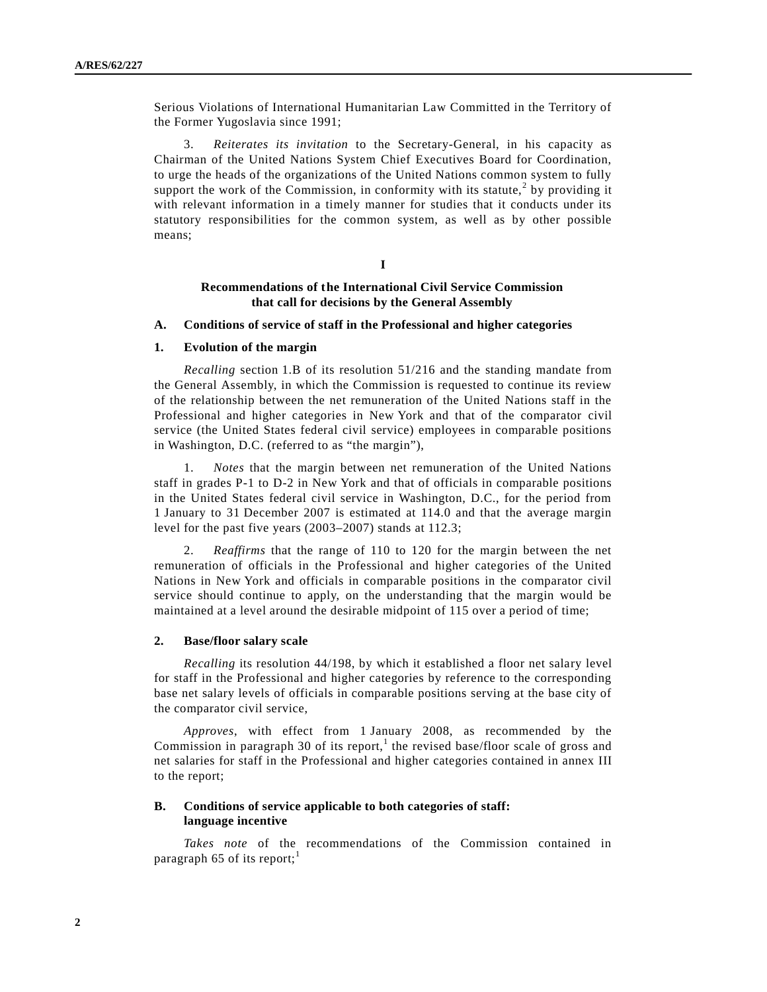Serious Violations of International Humanitarian Law Committed in the Territory of the Former Yugoslavia since 1991;

3. *Reiterates its invitation* to the Secretary-General, in his capacity as Chairman of the United Nations System Chief Executives Board for Coordination, to urge the heads of the organizations of the United Nations common system to fully support the work of the Commission, in conformity with its statute,<sup>2</sup> by providing it with relevant information in a timely manner for studies that it conducts under its statutory responsibilities for the common system, as well as by other possible means;

**I**

## **Recommendations of the International Civil Service Commission that call for decisions by the General Assembly**

#### **A. Conditions of service of staff in the Professional and higher categories**

#### **1. Evolution of the margin**

*Recalling* section 1.B of its resolution 51/216 and the standing mandate from the General Assembly, in which the Commission is requested to continue its review of the relationship between the net remuneration of the United Nations staff in the Professional and higher categories in New York and that of the comparator civil service (the United States federal civil service) employees in comparable positions in Washington, D.C. (referred to as "the margin"),

1. *Notes* that the margin between net remuneration of the United Nations staff in grades P-1 to D-2 in New York and that of officials in comparable positions in the United States federal civil service in Washington, D.C., for the period from 1 January to 31 December 2007 is estimated at 114.0 and that the average margin level for the past five years (2003–2007) stands at 112.3;

2. *Reaffirms* that the range of 110 to 120 for the margin between the net remuneration of officials in the Professional and higher categories of the United Nations in New York and officials in comparable positions in the comparator civil service should continue to apply, on the understanding that the margin would be maintained at a level around the desirable midpoint of 115 over a period of time;

### **2. Base/floor salary scale**

*Recalling* its resolution 44/198, by which it established a floor net salary level for staff in the Professional and higher categories by reference to the corresponding base net salary levels of officials in comparable positions serving at the base city of the comparator civil service,

*Approves*, with effect from 1 January 2008, as recommended by the Commission in paragraph 30 of its report,<sup>1</sup> the revised base/floor scale of gross and net salaries for staff in the Professional and higher categories contained in annex III to the report;

## **B. Conditions of service applicable to both categories of staff: language incentive**

*Takes note* of the recommendations of the Commission contained in paragraph 65 of its report;<sup>1</sup>